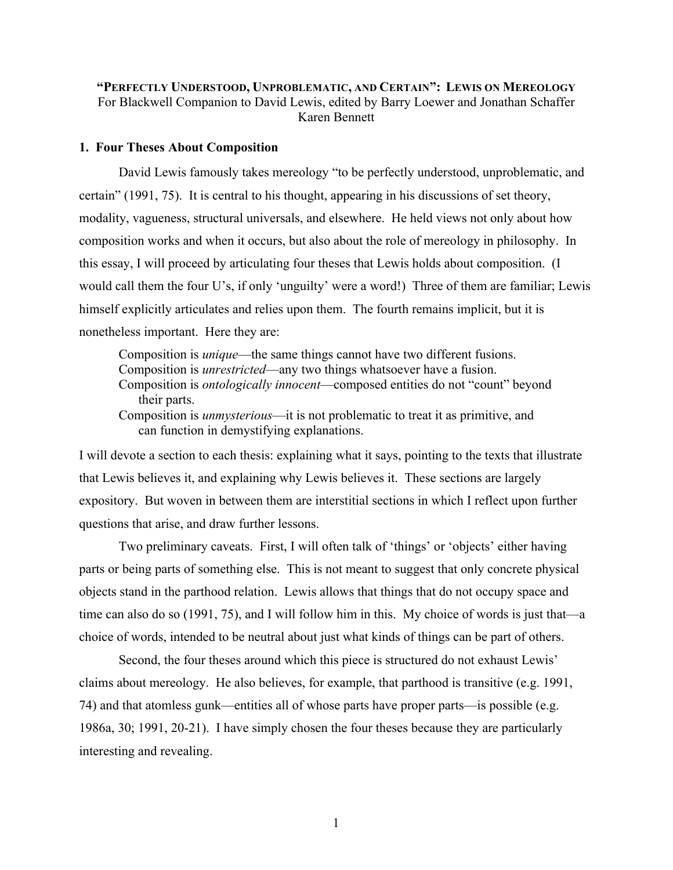# **"PERFECTLY UNDERSTOOD, UNPROBLEMATIC, AND CERTAIN": LEWIS ON MEREOLOGY** For Blackwell Companion to David Lewis, edited by Barry Loewer and Jonathan Schaffer Karen Bennett

# **1. Four Theses About Composition**

David Lewis famously takes mereology "to be perfectly understood, unproblematic, and certain" (1991, 75). It is central to his thought, appearing in his discussions of set theory, modality, vagueness, structural universals, and elsewhere. He held views not only about how composition works and when it occurs, but also about the role of mereology in philosophy. In this essay, I will proceed by articulating four theses that Lewis holds about composition. (I would call them the four U's, if only 'unguilty' were a word!) Three of them are familiar; Lewis himself explicitly articulates and relies upon them. The fourth remains implicit, but it is nonetheless important. Here they are:

Composition is *unique*—the same things cannot have two different fusions. Composition is *unrestricted*—any two things whatsoever have a fusion. Composition is *ontologically innocent*—composed entities do not "count" beyond their parts.

Composition is *unmysterious*—it is not problematic to treat it as primitive, and can function in demystifying explanations.

I will devote a section to each thesis: explaining what it says, pointing to the texts that illustrate that Lewis believes it, and explaining why Lewis believes it. These sections are largely expository. But woven in between them are interstitial sections in which I reflect upon further questions that arise, and draw further lessons.

Two preliminary caveats. First, I will often talk of 'things' or 'objects' either having parts or being parts of something else. This is not meant to suggest that only concrete physical objects stand in the parthood relation. Lewis allows that things that do not occupy space and time can also do so (1991, 75), and I will follow him in this. My choice of words is just that—a choice of words, intended to be neutral about just what kinds of things can be part of others.

Second, the four theses around which this piece is structured do not exhaust Lewis' claims about mereology. He also believes, for example, that parthood is transitive (e.g. 1991, 74) and that atomless gunk—entities all of whose parts have proper parts—is possible (e.g. 1986a, 30; 1991, 20-21). I have simply chosen the four theses because they are particularly interesting and revealing.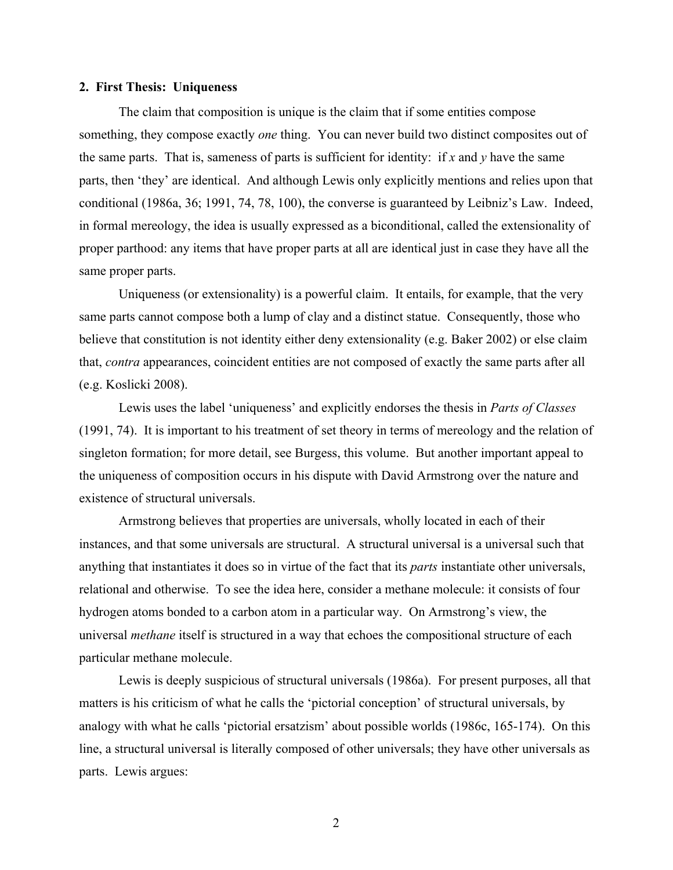# **2. First Thesis: Uniqueness**

The claim that composition is unique is the claim that if some entities compose something, they compose exactly *one* thing. You can never build two distinct composites out of the same parts. That is, sameness of parts is sufficient for identity: if *x* and *y* have the same parts, then 'they' are identical. And although Lewis only explicitly mentions and relies upon that conditional (1986a, 36; 1991, 74, 78, 100), the converse is guaranteed by Leibniz's Law. Indeed, in formal mereology, the idea is usually expressed as a biconditional, called the extensionality of proper parthood: any items that have proper parts at all are identical just in case they have all the same proper parts.

Uniqueness (or extensionality) is a powerful claim. It entails, for example, that the very same parts cannot compose both a lump of clay and a distinct statue. Consequently, those who believe that constitution is not identity either deny extensionality (e.g. Baker 2002) or else claim that, *contra* appearances, coincident entities are not composed of exactly the same parts after all (e.g. Koslicki 2008).

Lewis uses the label 'uniqueness' and explicitly endorses the thesis in *Parts of Classes* (1991, 74). It is important to his treatment of set theory in terms of mereology and the relation of singleton formation; for more detail, see Burgess, this volume. But another important appeal to the uniqueness of composition occurs in his dispute with David Armstrong over the nature and existence of structural universals.

Armstrong believes that properties are universals, wholly located in each of their instances, and that some universals are structural. A structural universal is a universal such that anything that instantiates it does so in virtue of the fact that its *parts* instantiate other universals, relational and otherwise. To see the idea here, consider a methane molecule: it consists of four hydrogen atoms bonded to a carbon atom in a particular way. On Armstrong's view, the universal *methane* itself is structured in a way that echoes the compositional structure of each particular methane molecule.

Lewis is deeply suspicious of structural universals (1986a). For present purposes, all that matters is his criticism of what he calls the 'pictorial conception' of structural universals, by analogy with what he calls 'pictorial ersatzism' about possible worlds (1986c, 165-174). On this line, a structural universal is literally composed of other universals; they have other universals as parts. Lewis argues: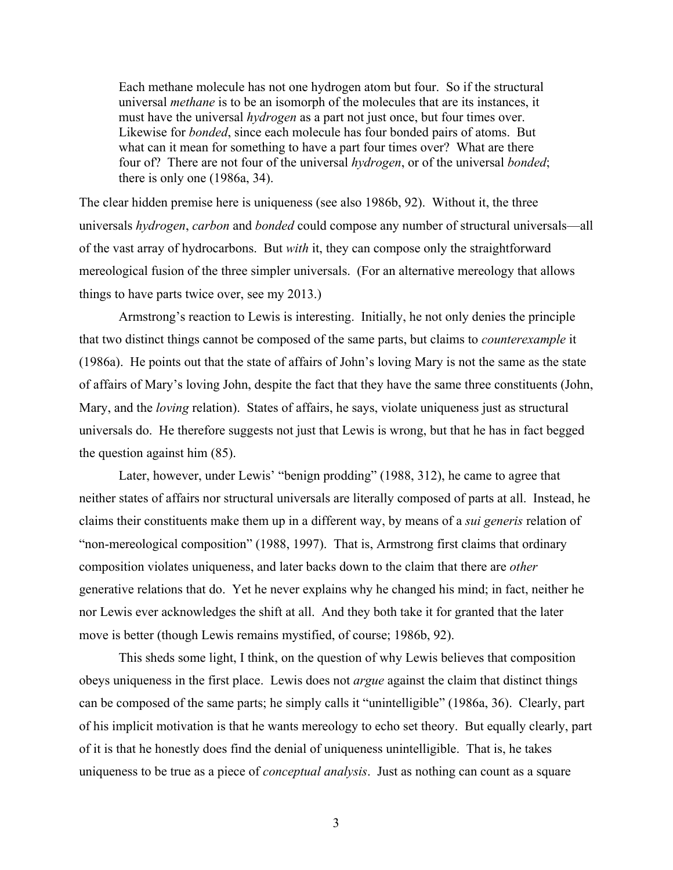Each methane molecule has not one hydrogen atom but four. So if the structural universal *methane* is to be an isomorph of the molecules that are its instances, it must have the universal *hydrogen* as a part not just once, but four times over. Likewise for *bonded*, since each molecule has four bonded pairs of atoms. But what can it mean for something to have a part four times over? What are there four of? There are not four of the universal *hydrogen*, or of the universal *bonded*; there is only one (1986a, 34).

The clear hidden premise here is uniqueness (see also 1986b, 92). Without it, the three universals *hydrogen*, *carbon* and *bonded* could compose any number of structural universals—all of the vast array of hydrocarbons. But *with* it, they can compose only the straightforward mereological fusion of the three simpler universals. (For an alternative mereology that allows things to have parts twice over, see my 2013.)

Armstrong's reaction to Lewis is interesting. Initially, he not only denies the principle that two distinct things cannot be composed of the same parts, but claims to *counterexample* it (1986a). He points out that the state of affairs of John's loving Mary is not the same as the state of affairs of Mary's loving John, despite the fact that they have the same three constituents (John, Mary, and the *loving* relation). States of affairs, he says, violate uniqueness just as structural universals do. He therefore suggests not just that Lewis is wrong, but that he has in fact begged the question against him (85).

Later, however, under Lewis' "benign prodding" (1988, 312), he came to agree that neither states of affairs nor structural universals are literally composed of parts at all. Instead, he claims their constituents make them up in a different way, by means of a *sui generis* relation of "non-mereological composition" (1988, 1997). That is, Armstrong first claims that ordinary composition violates uniqueness, and later backs down to the claim that there are *other* generative relations that do. Yet he never explains why he changed his mind; in fact, neither he nor Lewis ever acknowledges the shift at all. And they both take it for granted that the later move is better (though Lewis remains mystified, of course; 1986b, 92).

This sheds some light, I think, on the question of why Lewis believes that composition obeys uniqueness in the first place. Lewis does not *argue* against the claim that distinct things can be composed of the same parts; he simply calls it "unintelligible" (1986a, 36). Clearly, part of his implicit motivation is that he wants mereology to echo set theory. But equally clearly, part of it is that he honestly does find the denial of uniqueness unintelligible. That is, he takes uniqueness to be true as a piece of *conceptual analysis*. Just as nothing can count as a square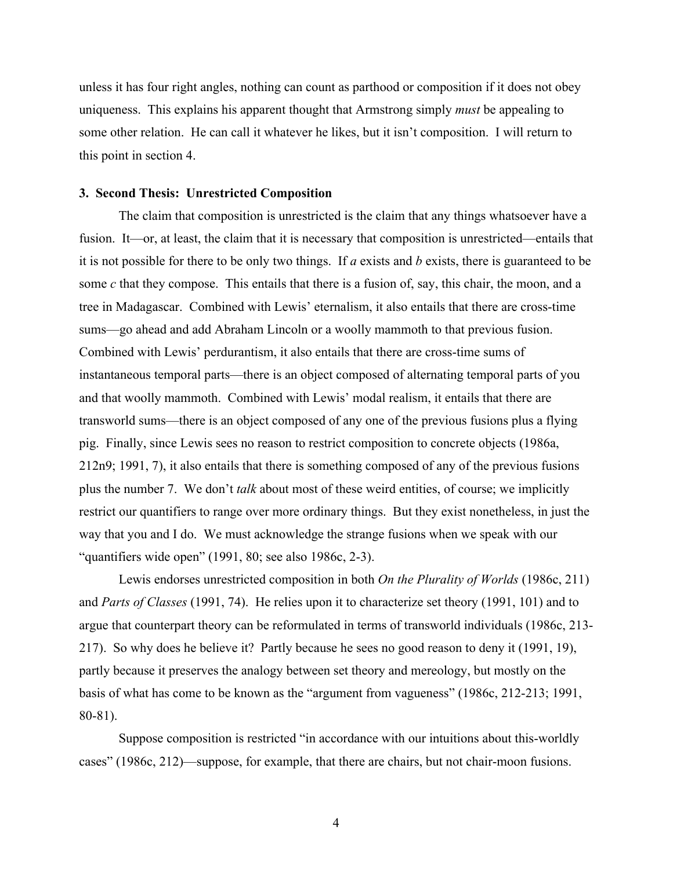unless it has four right angles, nothing can count as parthood or composition if it does not obey uniqueness. This explains his apparent thought that Armstrong simply *must* be appealing to some other relation. He can call it whatever he likes, but it isn't composition. I will return to this point in section 4.

# **3. Second Thesis: Unrestricted Composition**

The claim that composition is unrestricted is the claim that any things whatsoever have a fusion. It—or, at least, the claim that it is necessary that composition is unrestricted—entails that it is not possible for there to be only two things. If *a* exists and *b* exists, there is guaranteed to be some *c* that they compose. This entails that there is a fusion of, say, this chair, the moon, and a tree in Madagascar. Combined with Lewis' eternalism, it also entails that there are cross-time sums—go ahead and add Abraham Lincoln or a woolly mammoth to that previous fusion. Combined with Lewis' perdurantism, it also entails that there are cross-time sums of instantaneous temporal parts—there is an object composed of alternating temporal parts of you and that woolly mammoth. Combined with Lewis' modal realism, it entails that there are transworld sums—there is an object composed of any one of the previous fusions plus a flying pig. Finally, since Lewis sees no reason to restrict composition to concrete objects (1986a, 212n9; 1991, 7), it also entails that there is something composed of any of the previous fusions plus the number 7. We don't *talk* about most of these weird entities, of course; we implicitly restrict our quantifiers to range over more ordinary things. But they exist nonetheless, in just the way that you and I do. We must acknowledge the strange fusions when we speak with our "quantifiers wide open" (1991, 80; see also 1986c, 2-3).

Lewis endorses unrestricted composition in both *On the Plurality of Worlds* (1986c, 211) and *Parts of Classes* (1991, 74). He relies upon it to characterize set theory (1991, 101) and to argue that counterpart theory can be reformulated in terms of transworld individuals (1986c, 213- 217). So why does he believe it? Partly because he sees no good reason to deny it (1991, 19), partly because it preserves the analogy between set theory and mereology, but mostly on the basis of what has come to be known as the "argument from vagueness" (1986c, 212-213; 1991, 80-81).

Suppose composition is restricted "in accordance with our intuitions about this-worldly cases" (1986c, 212)—suppose, for example, that there are chairs, but not chair-moon fusions.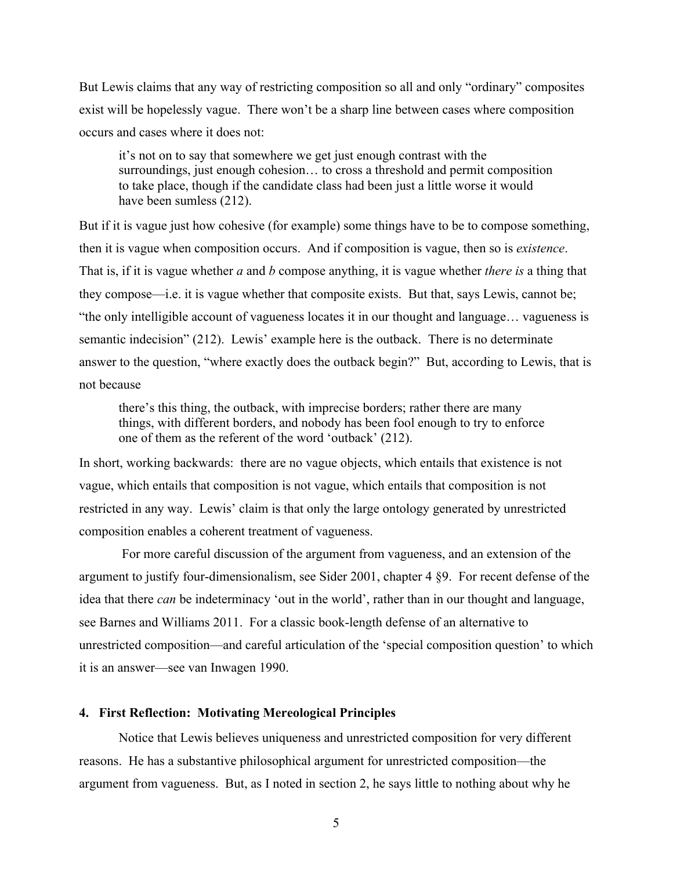But Lewis claims that any way of restricting composition so all and only "ordinary" composites exist will be hopelessly vague. There won't be a sharp line between cases where composition occurs and cases where it does not:

it's not on to say that somewhere we get just enough contrast with the surroundings, just enough cohesion… to cross a threshold and permit composition to take place, though if the candidate class had been just a little worse it would have been sumless  $(212)$ .

But if it is vague just how cohesive (for example) some things have to be to compose something, then it is vague when composition occurs. And if composition is vague, then so is *existence*. That is, if it is vague whether *a* and *b* compose anything, it is vague whether *there is* a thing that they compose—i.e. it is vague whether that composite exists. But that, says Lewis, cannot be; "the only intelligible account of vagueness locates it in our thought and language… vagueness is semantic indecision" (212). Lewis' example here is the outback. There is no determinate answer to the question, "where exactly does the outback begin?" But, according to Lewis, that is not because

there's this thing, the outback, with imprecise borders; rather there are many things, with different borders, and nobody has been fool enough to try to enforce one of them as the referent of the word 'outback' (212).

In short, working backwards: there are no vague objects, which entails that existence is not vague, which entails that composition is not vague, which entails that composition is not restricted in any way. Lewis' claim is that only the large ontology generated by unrestricted composition enables a coherent treatment of vagueness.

For more careful discussion of the argument from vagueness, and an extension of the argument to justify four-dimensionalism, see Sider 2001, chapter 4 §9. For recent defense of the idea that there *can* be indeterminacy 'out in the world', rather than in our thought and language, see Barnes and Williams 2011. For a classic book-length defense of an alternative to unrestricted composition—and careful articulation of the 'special composition question' to which it is an answer—see van Inwagen 1990.

#### **4. First Reflection: Motivating Mereological Principles**

Notice that Lewis believes uniqueness and unrestricted composition for very different reasons. He has a substantive philosophical argument for unrestricted composition—the argument from vagueness. But, as I noted in section 2, he says little to nothing about why he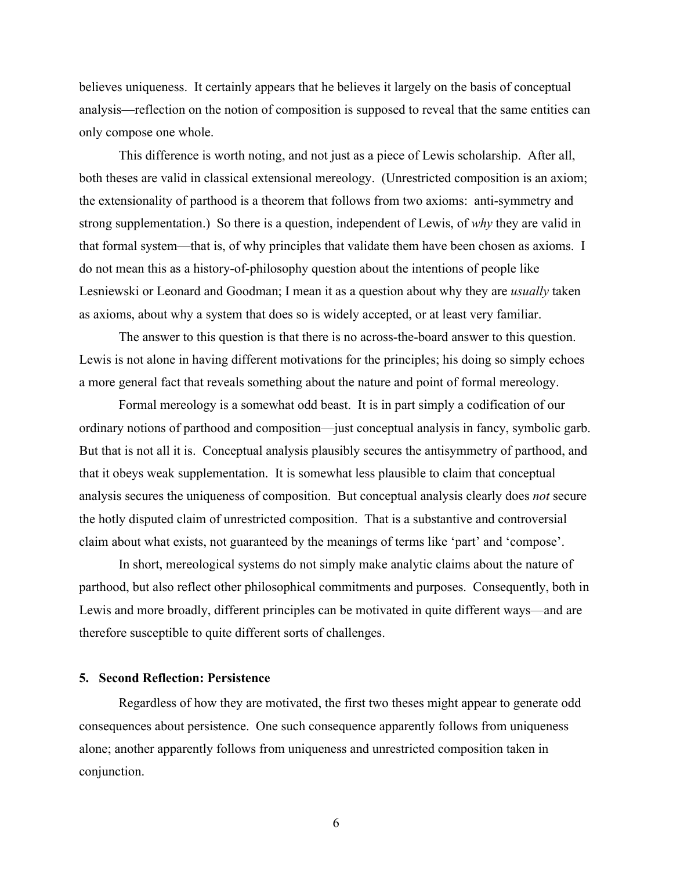believes uniqueness. It certainly appears that he believes it largely on the basis of conceptual analysis—reflection on the notion of composition is supposed to reveal that the same entities can only compose one whole.

This difference is worth noting, and not just as a piece of Lewis scholarship. After all, both theses are valid in classical extensional mereology. (Unrestricted composition is an axiom; the extensionality of parthood is a theorem that follows from two axioms: anti-symmetry and strong supplementation.) So there is a question, independent of Lewis, of *why* they are valid in that formal system—that is, of why principles that validate them have been chosen as axioms. I do not mean this as a history-of-philosophy question about the intentions of people like Lesniewski or Leonard and Goodman; I mean it as a question about why they are *usually* taken as axioms, about why a system that does so is widely accepted, or at least very familiar.

The answer to this question is that there is no across-the-board answer to this question. Lewis is not alone in having different motivations for the principles; his doing so simply echoes a more general fact that reveals something about the nature and point of formal mereology.

Formal mereology is a somewhat odd beast. It is in part simply a codification of our ordinary notions of parthood and composition—just conceptual analysis in fancy, symbolic garb. But that is not all it is. Conceptual analysis plausibly secures the antisymmetry of parthood, and that it obeys weak supplementation. It is somewhat less plausible to claim that conceptual analysis secures the uniqueness of composition. But conceptual analysis clearly does *not* secure the hotly disputed claim of unrestricted composition. That is a substantive and controversial claim about what exists, not guaranteed by the meanings of terms like 'part' and 'compose'.

In short, mereological systems do not simply make analytic claims about the nature of parthood, but also reflect other philosophical commitments and purposes. Consequently, both in Lewis and more broadly, different principles can be motivated in quite different ways—and are therefore susceptible to quite different sorts of challenges.

# **5. Second Reflection: Persistence**

Regardless of how they are motivated, the first two theses might appear to generate odd consequences about persistence. One such consequence apparently follows from uniqueness alone; another apparently follows from uniqueness and unrestricted composition taken in conjunction.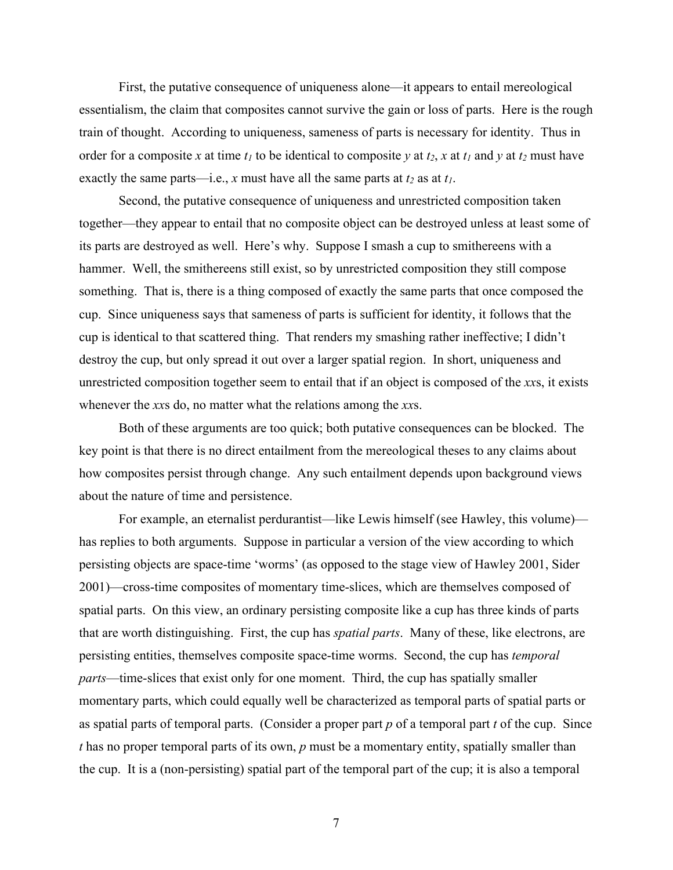First, the putative consequence of uniqueness alone—it appears to entail mereological essentialism, the claim that composites cannot survive the gain or loss of parts. Here is the rough train of thought. According to uniqueness, sameness of parts is necessary for identity. Thus in order for a composite *x* at time  $t_1$  to be identical to composite *y* at  $t_2$ , *x* at  $t_1$  and *y* at  $t_2$  must have exactly the same parts—i.e., *x* must have all the same parts at  $t_2$  as at  $t_1$ .

Second, the putative consequence of uniqueness and unrestricted composition taken together—they appear to entail that no composite object can be destroyed unless at least some of its parts are destroyed as well. Here's why. Suppose I smash a cup to smithereens with a hammer. Well, the smithereens still exist, so by unrestricted composition they still compose something. That is, there is a thing composed of exactly the same parts that once composed the cup. Since uniqueness says that sameness of parts is sufficient for identity, it follows that the cup is identical to that scattered thing. That renders my smashing rather ineffective; I didn't destroy the cup, but only spread it out over a larger spatial region. In short, uniqueness and unrestricted composition together seem to entail that if an object is composed of the *xx*s, it exists whenever the *xx*s do, no matter what the relations among the *xx*s.

Both of these arguments are too quick; both putative consequences can be blocked. The key point is that there is no direct entailment from the mereological theses to any claims about how composites persist through change. Any such entailment depends upon background views about the nature of time and persistence.

For example, an eternalist perdurantist—like Lewis himself (see Hawley, this volume) has replies to both arguments. Suppose in particular a version of the view according to which persisting objects are space-time 'worms' (as opposed to the stage view of Hawley 2001, Sider 2001)—cross-time composites of momentary time-slices, which are themselves composed of spatial parts. On this view, an ordinary persisting composite like a cup has three kinds of parts that are worth distinguishing. First, the cup has *spatial parts*. Many of these, like electrons, are persisting entities, themselves composite space-time worms. Second, the cup has *temporal parts*—time-slices that exist only for one moment. Third, the cup has spatially smaller momentary parts, which could equally well be characterized as temporal parts of spatial parts or as spatial parts of temporal parts. (Consider a proper part *p* of a temporal part *t* of the cup. Since *t* has no proper temporal parts of its own, *p* must be a momentary entity, spatially smaller than the cup. It is a (non-persisting) spatial part of the temporal part of the cup; it is also a temporal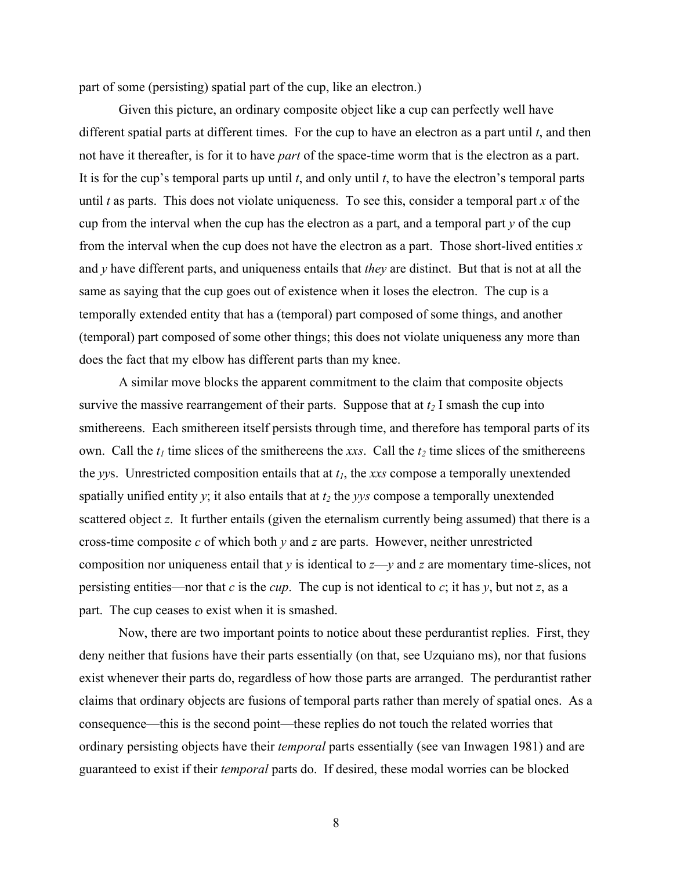part of some (persisting) spatial part of the cup, like an electron.)

Given this picture, an ordinary composite object like a cup can perfectly well have different spatial parts at different times. For the cup to have an electron as a part until *t*, and then not have it thereafter, is for it to have *part* of the space-time worm that is the electron as a part. It is for the cup's temporal parts up until *t*, and only until *t*, to have the electron's temporal parts until *t* as parts. This does not violate uniqueness. To see this, consider a temporal part *x* of the cup from the interval when the cup has the electron as a part, and a temporal part *y* of the cup from the interval when the cup does not have the electron as a part. Those short-lived entities *x*  and *y* have different parts, and uniqueness entails that *they* are distinct. But that is not at all the same as saying that the cup goes out of existence when it loses the electron. The cup is a temporally extended entity that has a (temporal) part composed of some things, and another (temporal) part composed of some other things; this does not violate uniqueness any more than does the fact that my elbow has different parts than my knee.

A similar move blocks the apparent commitment to the claim that composite objects survive the massive rearrangement of their parts. Suppose that at  $t_2$  I smash the cup into smithereens. Each smithereen itself persists through time, and therefore has temporal parts of its own. Call the  $t_1$  time slices of the smithereens the *xxs*. Call the  $t_2$  time slices of the smithereens the *yys*. Unrestricted composition entails that at  $t_1$ , the *xxs* compose a temporally unextended spatially unified entity  $y$ ; it also entails that at  $t_2$  the *yys* compose a temporally unextended scattered object *z*. It further entails (given the eternalism currently being assumed) that there is a cross-time composite *c* of which both *y* and *z* are parts. However, neither unrestricted composition nor uniqueness entail that *y* is identical to *z*—*y* and *z* are momentary time-slices, not persisting entities—nor that *c* is the *cup*. The cup is not identical to *c*; it has *y*, but not *z*, as a part. The cup ceases to exist when it is smashed.

Now, there are two important points to notice about these perdurantist replies. First, they deny neither that fusions have their parts essentially (on that, see Uzquiano ms), nor that fusions exist whenever their parts do, regardless of how those parts are arranged. The perdurantist rather claims that ordinary objects are fusions of temporal parts rather than merely of spatial ones. As a consequence—this is the second point—these replies do not touch the related worries that ordinary persisting objects have their *temporal* parts essentially (see van Inwagen 1981) and are guaranteed to exist if their *temporal* parts do. If desired, these modal worries can be blocked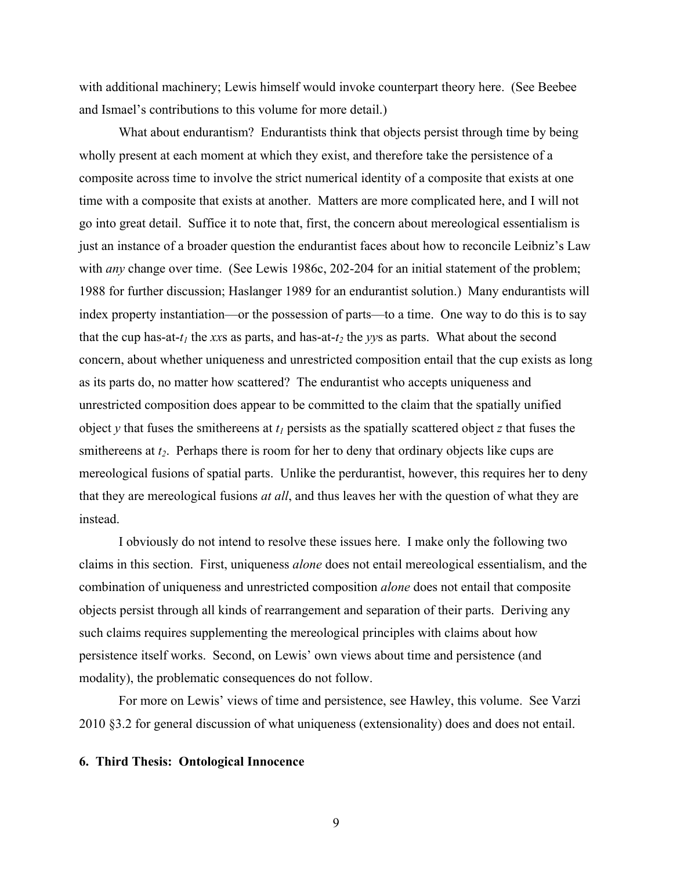with additional machinery; Lewis himself would invoke counterpart theory here. (See Beebee and Ismael's contributions to this volume for more detail.)

What about endurantism? Endurantists think that objects persist through time by being wholly present at each moment at which they exist, and therefore take the persistence of a composite across time to involve the strict numerical identity of a composite that exists at one time with a composite that exists at another. Matters are more complicated here, and I will not go into great detail. Suffice it to note that, first, the concern about mereological essentialism is just an instance of a broader question the endurantist faces about how to reconcile Leibniz's Law with *any* change over time. (See Lewis 1986c, 202-204 for an initial statement of the problem; 1988 for further discussion; Haslanger 1989 for an endurantist solution.) Many endurantists will index property instantiation—or the possession of parts—to a time. One way to do this is to say that the cup has-at- $t_1$  the *xx*s as parts, and has-at- $t_2$  the *yy*s as parts. What about the second concern, about whether uniqueness and unrestricted composition entail that the cup exists as long as its parts do, no matter how scattered? The endurantist who accepts uniqueness and unrestricted composition does appear to be committed to the claim that the spatially unified object *y* that fuses the smithereens at  $t_1$  persists as the spatially scattered object *z* that fuses the smithereens at  $t_2$ . Perhaps there is room for her to deny that ordinary objects like cups are mereological fusions of spatial parts. Unlike the perdurantist, however, this requires her to deny that they are mereological fusions *at all*, and thus leaves her with the question of what they are instead.

I obviously do not intend to resolve these issues here. I make only the following two claims in this section. First, uniqueness *alone* does not entail mereological essentialism, and the combination of uniqueness and unrestricted composition *alone* does not entail that composite objects persist through all kinds of rearrangement and separation of their parts. Deriving any such claims requires supplementing the mereological principles with claims about how persistence itself works. Second, on Lewis' own views about time and persistence (and modality), the problematic consequences do not follow.

For more on Lewis' views of time and persistence, see Hawley, this volume. See Varzi 2010 §3.2 for general discussion of what uniqueness (extensionality) does and does not entail.

# **6. Third Thesis: Ontological Innocence**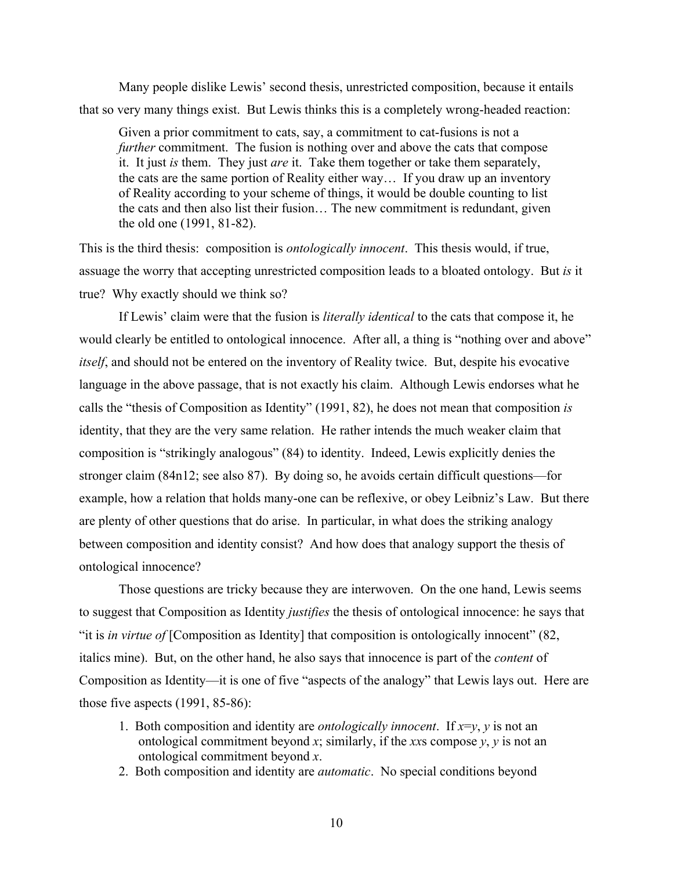Many people dislike Lewis' second thesis, unrestricted composition, because it entails that so very many things exist. But Lewis thinks this is a completely wrong-headed reaction:

Given a prior commitment to cats, say, a commitment to cat-fusions is not a *further* commitment. The fusion is nothing over and above the cats that compose it. It just *is* them. They just *are* it. Take them together or take them separately, the cats are the same portion of Reality either way… If you draw up an inventory of Reality according to your scheme of things, it would be double counting to list the cats and then also list their fusion… The new commitment is redundant, given the old one (1991, 81-82).

This is the third thesis: composition is *ontologically innocent*. This thesis would, if true, assuage the worry that accepting unrestricted composition leads to a bloated ontology. But *is* it true? Why exactly should we think so?

If Lewis' claim were that the fusion is *literally identical* to the cats that compose it, he would clearly be entitled to ontological innocence. After all, a thing is "nothing over and above" *itself*, and should not be entered on the inventory of Reality twice. But, despite his evocative language in the above passage, that is not exactly his claim. Although Lewis endorses what he calls the "thesis of Composition as Identity" (1991, 82), he does not mean that composition *is* identity, that they are the very same relation. He rather intends the much weaker claim that composition is "strikingly analogous" (84) to identity. Indeed, Lewis explicitly denies the stronger claim (84n12; see also 87). By doing so, he avoids certain difficult questions—for example, how a relation that holds many-one can be reflexive, or obey Leibniz's Law. But there are plenty of other questions that do arise. In particular, in what does the striking analogy between composition and identity consist? And how does that analogy support the thesis of ontological innocence?

Those questions are tricky because they are interwoven. On the one hand, Lewis seems to suggest that Composition as Identity *justifies* the thesis of ontological innocence: he says that "it is *in virtue of* [Composition as Identity] that composition is ontologically innocent" (82, italics mine). But, on the other hand, he also says that innocence is part of the *content* of Composition as Identity—it is one of five "aspects of the analogy" that Lewis lays out. Here are those five aspects (1991, 85-86):

- 1. Both composition and identity are *ontologically innocent*. If *x*=*y*, *y* is not an ontological commitment beyond *x*; similarly, if the *xx*s compose  $y$ ,  $y$  is not an ontological commitment beyond *x*.
- 2. Both composition and identity are *automatic*. No special conditions beyond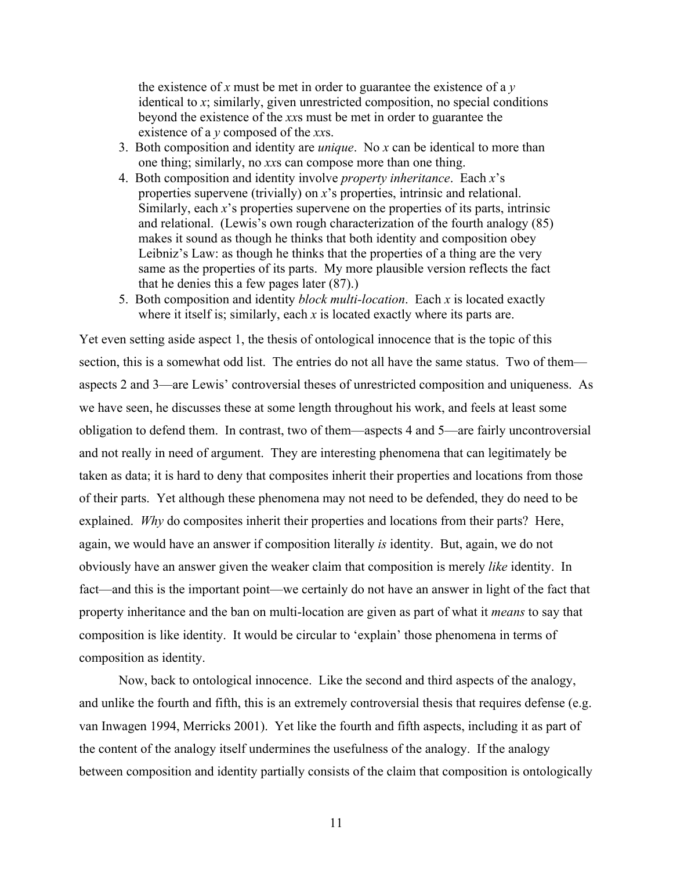the existence of x must be met in order to guarantee the existence of a  $y$ identical to *x*; similarly, given unrestricted composition, no special conditions beyond the existence of the *xx*s must be met in order to guarantee the existence of a *y* composed of the *xx*s.

- 3. Both composition and identity are *unique*. No *x* can be identical to more than one thing; similarly, no *xx*s can compose more than one thing.
- 4. Both composition and identity involve *property inheritance*. Each *x*'s properties supervene (trivially) on *x*'s properties, intrinsic and relational. Similarly, each x's properties supervene on the properties of its parts, intrinsic and relational. (Lewis's own rough characterization of the fourth analogy (85) makes it sound as though he thinks that both identity and composition obey Leibniz's Law: as though he thinks that the properties of a thing are the very same as the properties of its parts. My more plausible version reflects the fact that he denies this a few pages later (87).)
- 5. Both composition and identity *block multi-location*. Each *x* is located exactly where it itself is; similarly, each *x* is located exactly where its parts are.

Yet even setting aside aspect 1, the thesis of ontological innocence that is the topic of this section, this is a somewhat odd list. The entries do not all have the same status. Two of them aspects 2 and 3—are Lewis' controversial theses of unrestricted composition and uniqueness. As we have seen, he discusses these at some length throughout his work, and feels at least some obligation to defend them. In contrast, two of them—aspects 4 and 5—are fairly uncontroversial and not really in need of argument. They are interesting phenomena that can legitimately be taken as data; it is hard to deny that composites inherit their properties and locations from those of their parts. Yet although these phenomena may not need to be defended, they do need to be explained. *Why* do composites inherit their properties and locations from their parts? Here, again, we would have an answer if composition literally *is* identity. But, again, we do not obviously have an answer given the weaker claim that composition is merely *like* identity. In fact—and this is the important point—we certainly do not have an answer in light of the fact that property inheritance and the ban on multi-location are given as part of what it *means* to say that composition is like identity. It would be circular to 'explain' those phenomena in terms of composition as identity.

Now, back to ontological innocence. Like the second and third aspects of the analogy, and unlike the fourth and fifth, this is an extremely controversial thesis that requires defense (e.g. van Inwagen 1994, Merricks 2001). Yet like the fourth and fifth aspects, including it as part of the content of the analogy itself undermines the usefulness of the analogy. If the analogy between composition and identity partially consists of the claim that composition is ontologically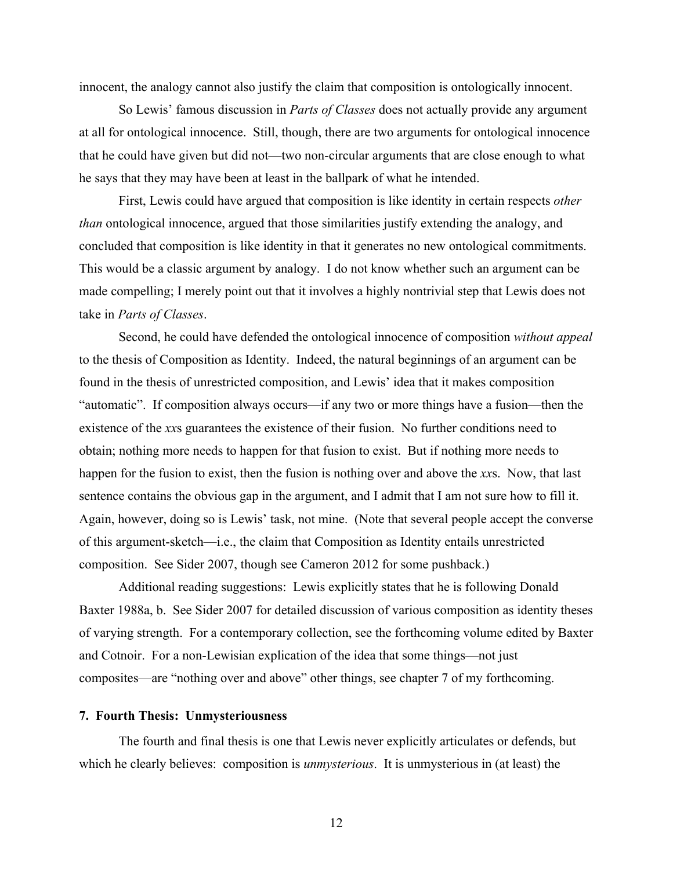innocent, the analogy cannot also justify the claim that composition is ontologically innocent.

So Lewis' famous discussion in *Parts of Classes* does not actually provide any argument at all for ontological innocence. Still, though, there are two arguments for ontological innocence that he could have given but did not—two non-circular arguments that are close enough to what he says that they may have been at least in the ballpark of what he intended.

First, Lewis could have argued that composition is like identity in certain respects *other than* ontological innocence, argued that those similarities justify extending the analogy, and concluded that composition is like identity in that it generates no new ontological commitments. This would be a classic argument by analogy. I do not know whether such an argument can be made compelling; I merely point out that it involves a highly nontrivial step that Lewis does not take in *Parts of Classes*.

Second, he could have defended the ontological innocence of composition *without appeal* to the thesis of Composition as Identity. Indeed, the natural beginnings of an argument can be found in the thesis of unrestricted composition, and Lewis' idea that it makes composition "automatic". If composition always occurs—if any two or more things have a fusion—then the existence of the *xx*s guarantees the existence of their fusion. No further conditions need to obtain; nothing more needs to happen for that fusion to exist. But if nothing more needs to happen for the fusion to exist, then the fusion is nothing over and above the *xx*s. Now, that last sentence contains the obvious gap in the argument, and I admit that I am not sure how to fill it. Again, however, doing so is Lewis' task, not mine. (Note that several people accept the converse of this argument-sketch—i.e., the claim that Composition as Identity entails unrestricted composition. See Sider 2007, though see Cameron 2012 for some pushback.)

Additional reading suggestions: Lewis explicitly states that he is following Donald Baxter 1988a, b. See Sider 2007 for detailed discussion of various composition as identity theses of varying strength. For a contemporary collection, see the forthcoming volume edited by Baxter and Cotnoir. For a non-Lewisian explication of the idea that some things—not just composites—are "nothing over and above" other things, see chapter 7 of my forthcoming.

# **7. Fourth Thesis: Unmysteriousness**

The fourth and final thesis is one that Lewis never explicitly articulates or defends, but which he clearly believes: composition is *unmysterious*. It is unmysterious in (at least) the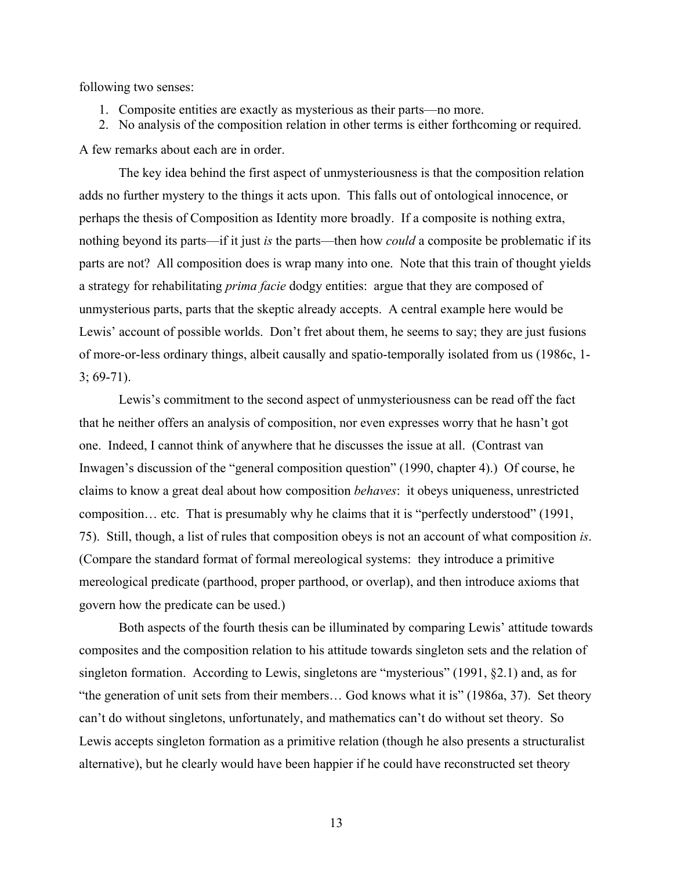following two senses:

- 1. Composite entities are exactly as mysterious as their parts—no more.
- 2. No analysis of the composition relation in other terms is either forthcoming or required.

A few remarks about each are in order.

The key idea behind the first aspect of unmysteriousness is that the composition relation adds no further mystery to the things it acts upon. This falls out of ontological innocence, or perhaps the thesis of Composition as Identity more broadly. If a composite is nothing extra, nothing beyond its parts—if it just *is* the parts—then how *could* a composite be problematic if its parts are not? All composition does is wrap many into one. Note that this train of thought yields a strategy for rehabilitating *prima facie* dodgy entities: argue that they are composed of unmysterious parts, parts that the skeptic already accepts. A central example here would be Lewis' account of possible worlds. Don't fret about them, he seems to say; they are just fusions of more-or-less ordinary things, albeit causally and spatio-temporally isolated from us (1986c, 1-  $3; 69-71$ ).

Lewis's commitment to the second aspect of unmysteriousness can be read off the fact that he neither offers an analysis of composition, nor even expresses worry that he hasn't got one. Indeed, I cannot think of anywhere that he discusses the issue at all. (Contrast van Inwagen's discussion of the "general composition question" (1990, chapter 4).) Of course, he claims to know a great deal about how composition *behaves*: it obeys uniqueness, unrestricted composition… etc. That is presumably why he claims that it is "perfectly understood" (1991, 75). Still, though, a list of rules that composition obeys is not an account of what composition *is*. (Compare the standard format of formal mereological systems: they introduce a primitive mereological predicate (parthood, proper parthood, or overlap), and then introduce axioms that govern how the predicate can be used.)

Both aspects of the fourth thesis can be illuminated by comparing Lewis' attitude towards composites and the composition relation to his attitude towards singleton sets and the relation of singleton formation. According to Lewis, singletons are "mysterious" (1991, §2.1) and, as for "the generation of unit sets from their members… God knows what it is" (1986a, 37). Set theory can't do without singletons, unfortunately, and mathematics can't do without set theory. So Lewis accepts singleton formation as a primitive relation (though he also presents a structuralist alternative), but he clearly would have been happier if he could have reconstructed set theory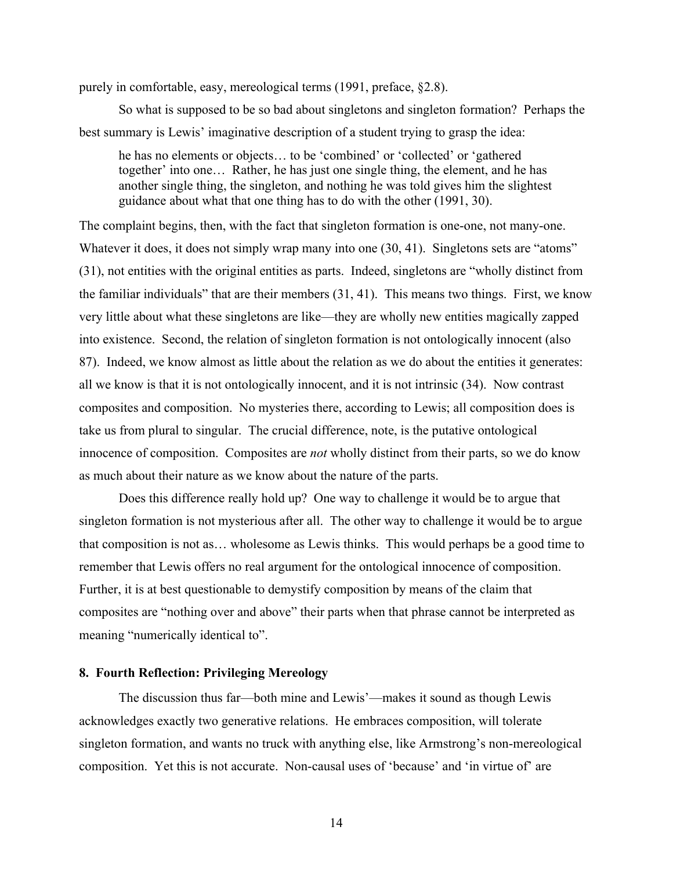purely in comfortable, easy, mereological terms (1991, preface, §2.8).

So what is supposed to be so bad about singletons and singleton formation? Perhaps the best summary is Lewis' imaginative description of a student trying to grasp the idea:

he has no elements or objects… to be 'combined' or 'collected' or 'gathered together' into one… Rather, he has just one single thing, the element, and he has another single thing, the singleton, and nothing he was told gives him the slightest guidance about what that one thing has to do with the other (1991, 30).

The complaint begins, then, with the fact that singleton formation is one-one, not many-one. Whatever it does, it does not simply wrap many into one  $(30, 41)$ . Singletons sets are "atoms" (31), not entities with the original entities as parts. Indeed, singletons are "wholly distinct from the familiar individuals" that are their members (31, 41). This means two things. First, we know very little about what these singletons are like—they are wholly new entities magically zapped into existence. Second, the relation of singleton formation is not ontologically innocent (also 87). Indeed, we know almost as little about the relation as we do about the entities it generates: all we know is that it is not ontologically innocent, and it is not intrinsic (34). Now contrast composites and composition. No mysteries there, according to Lewis; all composition does is take us from plural to singular. The crucial difference, note, is the putative ontological innocence of composition. Composites are *not* wholly distinct from their parts, so we do know as much about their nature as we know about the nature of the parts.

Does this difference really hold up? One way to challenge it would be to argue that singleton formation is not mysterious after all. The other way to challenge it would be to argue that composition is not as… wholesome as Lewis thinks. This would perhaps be a good time to remember that Lewis offers no real argument for the ontological innocence of composition. Further, it is at best questionable to demystify composition by means of the claim that composites are "nothing over and above" their parts when that phrase cannot be interpreted as meaning "numerically identical to".

# **8. Fourth Reflection: Privileging Mereology**

The discussion thus far—both mine and Lewis'—makes it sound as though Lewis acknowledges exactly two generative relations. He embraces composition, will tolerate singleton formation, and wants no truck with anything else, like Armstrong's non-mereological composition. Yet this is not accurate. Non-causal uses of 'because' and 'in virtue of' are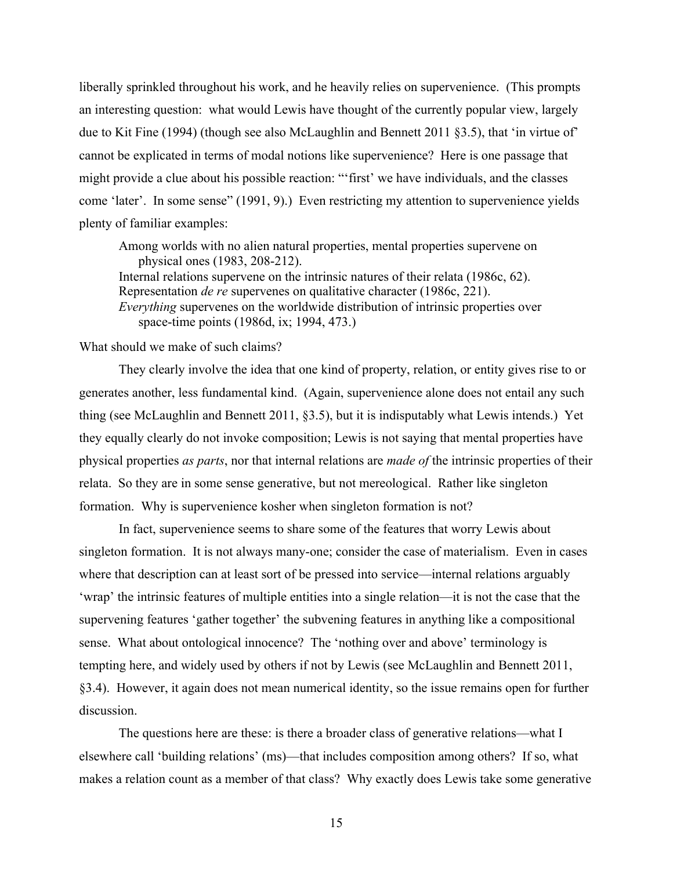liberally sprinkled throughout his work, and he heavily relies on supervenience. (This prompts an interesting question: what would Lewis have thought of the currently popular view, largely due to Kit Fine (1994) (though see also McLaughlin and Bennett 2011 §3.5), that 'in virtue of' cannot be explicated in terms of modal notions like supervenience? Here is one passage that might provide a clue about his possible reaction: "'first' we have individuals, and the classes come 'later'. In some sense" (1991, 9).) Even restricting my attention to supervenience yields plenty of familiar examples:

Among worlds with no alien natural properties, mental properties supervene on physical ones (1983, 208-212). Internal relations supervene on the intrinsic natures of their relata (1986c, 62). Representation *de re* supervenes on qualitative character (1986c, 221). *Everything* supervenes on the worldwide distribution of intrinsic properties over space-time points (1986d, ix; 1994, 473.)

What should we make of such claims?

They clearly involve the idea that one kind of property, relation, or entity gives rise to or generates another, less fundamental kind. (Again, supervenience alone does not entail any such thing (see McLaughlin and Bennett 2011, §3.5), but it is indisputably what Lewis intends.) Yet they equally clearly do not invoke composition; Lewis is not saying that mental properties have physical properties *as parts*, nor that internal relations are *made of* the intrinsic properties of their relata. So they are in some sense generative, but not mereological. Rather like singleton formation. Why is supervenience kosher when singleton formation is not?

In fact, supervenience seems to share some of the features that worry Lewis about singleton formation. It is not always many-one; consider the case of materialism. Even in cases where that description can at least sort of be pressed into service—internal relations arguably 'wrap' the intrinsic features of multiple entities into a single relation—it is not the case that the supervening features 'gather together' the subvening features in anything like a compositional sense. What about ontological innocence? The 'nothing over and above' terminology is tempting here, and widely used by others if not by Lewis (see McLaughlin and Bennett 2011, §3.4). However, it again does not mean numerical identity, so the issue remains open for further discussion.

The questions here are these: is there a broader class of generative relations—what I elsewhere call 'building relations' (ms)—that includes composition among others? If so, what makes a relation count as a member of that class? Why exactly does Lewis take some generative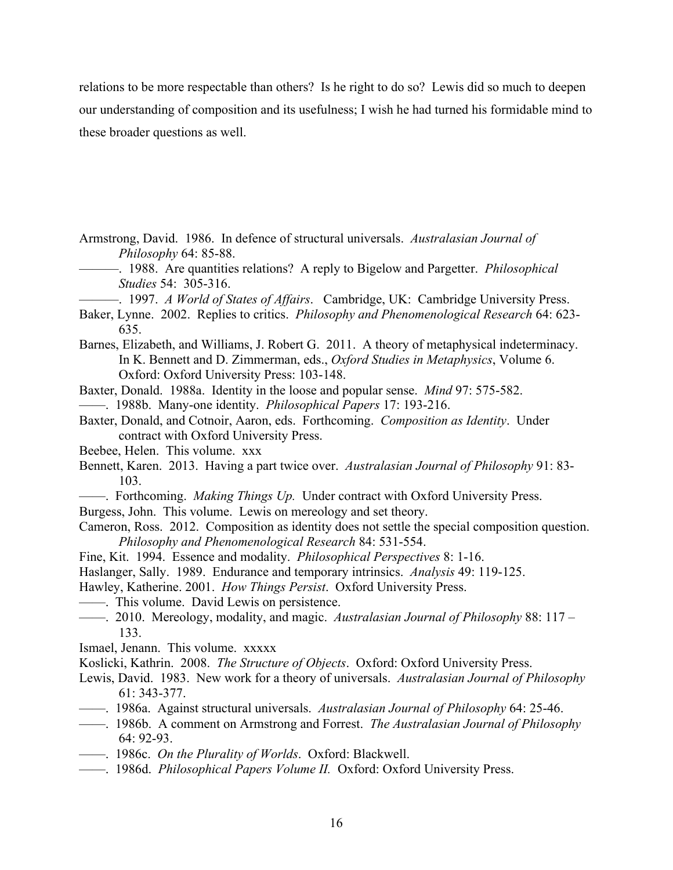relations to be more respectable than others? Is he right to do so? Lewis did so much to deepen our understanding of composition and its usefulness; I wish he had turned his formidable mind to these broader questions as well.

Armstrong, David. 1986. In defence of structural universals. *Australasian Journal of Philosophy* 64: 85-88.

———. 1988. Are quantities relations? A reply to Bigelow and Pargetter. *Philosophical Studies* 54: 305-316.

———. 1997. *A World of States of Affairs*. Cambridge, UK: Cambridge University Press.

- Baker, Lynne. 2002. Replies to critics. *Philosophy and Phenomenological Research* 64: 623- 635.
- Barnes, Elizabeth, and Williams, J. Robert G. 2011. A theory of metaphysical indeterminacy. In K. Bennett and D. Zimmerman, eds., *Oxford Studies in Metaphysics*, Volume 6. Oxford: Oxford University Press: 103-148.

Baxter, Donald. 1988a. Identity in the loose and popular sense. *Mind* 97: 575-582.

——. 1988b. Many-one identity. *Philosophical Papers* 17: 193-216.

- Baxter, Donald, and Cotnoir, Aaron, eds. Forthcoming. *Composition as Identity*. Under contract with Oxford University Press.
- Beebee, Helen. This volume. xxx
- Bennett, Karen. 2013. Having a part twice over. *Australasian Journal of Philosophy* 91: 83- 103.
- ——. Forthcoming. *Making Things Up.* Under contract with Oxford University Press.
- Burgess, John. This volume. Lewis on mereology and set theory.
- Cameron, Ross. 2012. Composition as identity does not settle the special composition question. *Philosophy and Phenomenological Research* 84: 531-554.
- Fine, Kit. 1994. Essence and modality. *Philosophical Perspectives* 8: 1-16.
- Haslanger, Sally. 1989. Endurance and temporary intrinsics. *Analysis* 49: 119-125.
- Hawley, Katherine. 2001. *How Things Persist*. Oxford University Press.
- ——. This volume. David Lewis on persistence.
- ——. 2010. Mereology, modality, and magic. *Australasian Journal of Philosophy* 88: 117 133.
- Ismael, Jenann. This volume. xxxxx

Koslicki, Kathrin. 2008. *The Structure of Objects*. Oxford: Oxford University Press.

- Lewis, David. 1983. New work for a theory of universals. *Australasian Journal of Philosophy* 61: 343-377.
- ——. 1986a. Against structural universals. *Australasian Journal of Philosophy* 64: 25-46.
- ——. 1986b. A comment on Armstrong and Forrest. *The Australasian Journal of Philosophy* 64: 92-93.
- ——. 1986c. *On the Plurality of Worlds*. Oxford: Blackwell.
- ——. 1986d. *Philosophical Papers Volume II.* Oxford: Oxford University Press.